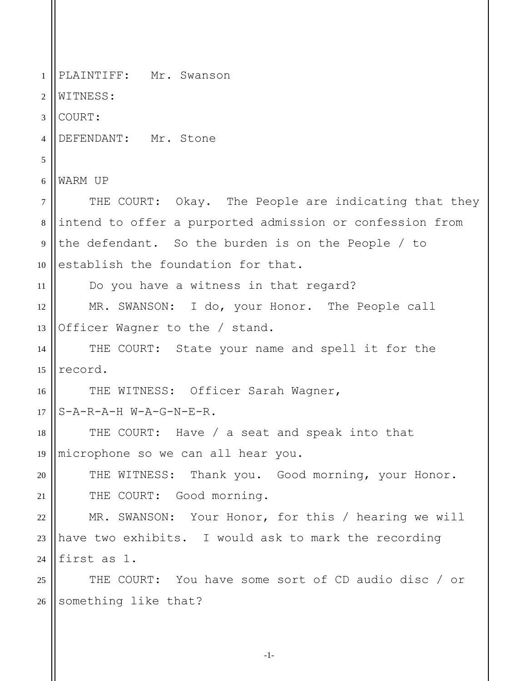1 2 3 4 5 6 7 8 9 10 11 12 13 14 15 16 17 18 19 20 21 22 23 24 25 26 PLAINTIFF: Mr. Swanson WITNESS: COURT: DEFENDANT: Mr. Stone WARM UP THE COURT: Okay. The People are indicating that they intend to offer a purported admission or confession from the defendant. So the burden is on the People / to establish the foundation for that. Do you have a witness in that regard? MR. SWANSON: I do, your Honor. The People call Officer Wagner to the / stand. THE COURT: State your name and spell it for the record. THE WITNESS: Officer Sarah Wagner, S-A-R-A-H W-A-G-N-E-R. THE COURT: Have / a seat and speak into that microphone so we can all hear you. THE WITNESS: Thank you. Good morning, your Honor. THE COURT: Good morning. MR. SWANSON: Your Honor, for this / hearing we will have two exhibits. I would ask to mark the recording first as 1. THE COURT: You have some sort of CD audio disc / or something like that?

-1-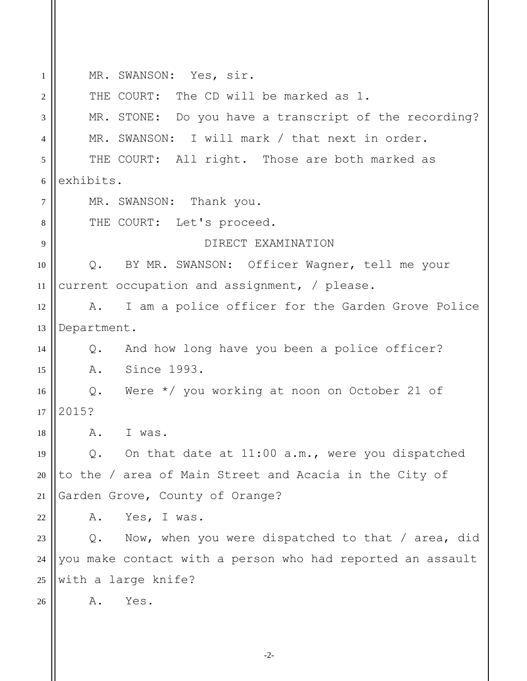| 1              | MR. SWANSON: Yes, sir.                                     |
|----------------|------------------------------------------------------------|
| $\overline{2}$ | THE COURT: The CD will be marked as 1.                     |
| 3              | MR. STONE: Do you have a transcript of the recording?      |
| 4              | MR. SWANSON: I will mark / that next in order.             |
| 5              | THE COURT: All right. Those are both marked as             |
| 6              | exhibits.                                                  |
| $\tau$         | MR. SWANSON: Thank you.                                    |
| 8              | THE COURT: Let's proceed.                                  |
| 9              | DIRECT EXAMINATION                                         |
| 10             | BY MR. SWANSON: Officer Wagner, tell me your<br>$Q$ .      |
| 11             | current occupation and assignment, / please.               |
| 12             | I am a police officer for the Garden Grove Police<br>A.    |
| 13             | Department.                                                |
| 14             | And how long have you been a police officer?<br>Q.         |
| 15             | A. Since 1993.                                             |
| 16             | Q. Were $*/$ you working at noon on October 21 of          |
| 17             | 2015?                                                      |
| 18             | Α.<br>I was.                                               |
| 19             | On that date at 11:00 a.m., were you dispatched<br>$Q$ .   |
| 20             | to the / area of Main Street and Acacia in the City of     |
| 21             | Garden Grove, County of Orange?                            |
| 22             | Yes, I was.<br>Α.                                          |
| 23             | Now, when you were dispatched to that / area, did<br>$Q$ . |
| 24             | you make contact with a person who had reported an assault |
| 25             | with a large knife?                                        |
| 26             | Yes.<br>Α.                                                 |
|                |                                                            |
|                |                                                            |

-2-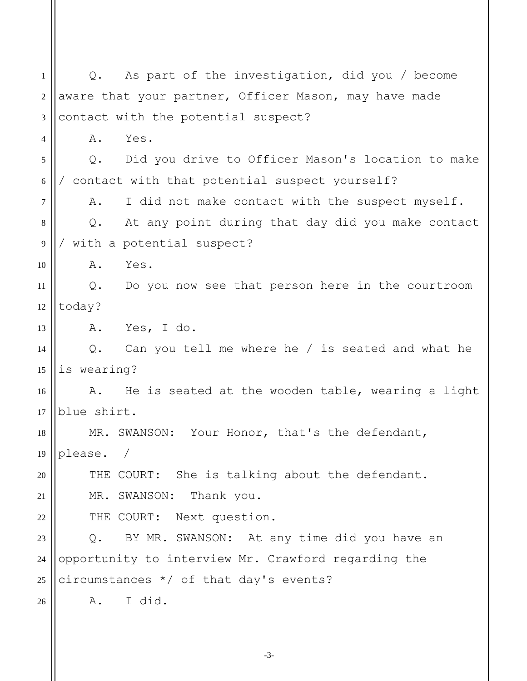1 2 3 4 5 6 7 8 9 10 11 12 13 14 15 16 17 18 19 20 21 22 23 24 25 26 Q. As part of the investigation, did you / become aware that your partner, Officer Mason, may have made contact with the potential suspect? A. Yes. Q. Did you drive to Officer Mason's location to make / contact with that potential suspect yourself? A. I did not make contact with the suspect myself. Q. At any point during that day did you make contact / with a potential suspect? A. Yes. Q. Do you now see that person here in the courtroom today? A. Yes, I do. Q. Can you tell me where he / is seated and what he is wearing? A. He is seated at the wooden table, wearing a light blue shirt. MR. SWANSON: Your Honor, that's the defendant, please. / THE COURT: She is talking about the defendant. MR. SWANSON: Thank you. THE COURT: Next question. Q. BY MR. SWANSON: At any time did you have an opportunity to interview Mr. Crawford regarding the circumstances \*/ of that day's events? A. I did.

-3-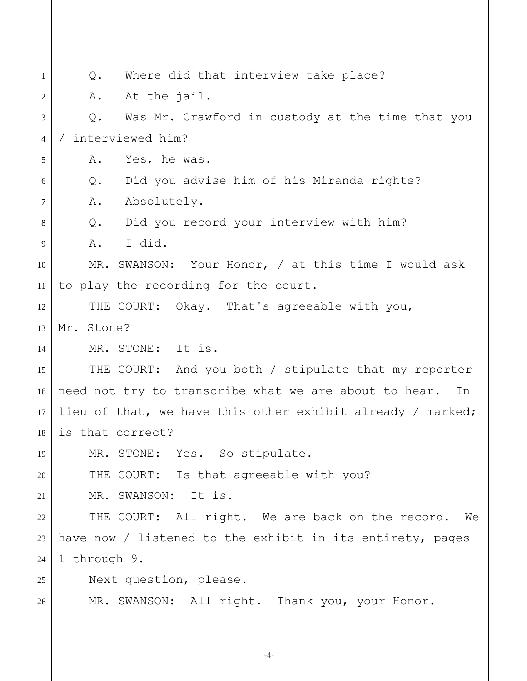| 1  | Where did that interview take place?<br>Q.                  |
|----|-------------------------------------------------------------|
| 2  | At the jail.<br>Α.                                          |
| 3  | Was Mr. Crawford in custody at the time that you<br>Q.      |
| 4  | interviewed him?                                            |
| 5  | Yes, he was.<br>Α.                                          |
| 6  | Did you advise him of his Miranda rights?<br>Q.             |
| 7  | Absolutely.<br>Α.                                           |
| 8  | Q. Did you record your interview with him?                  |
| 9  | I did.<br>Α.                                                |
| 10 | MR. SWANSON: Your Honor, / at this time I would ask         |
| 11 | to play the recording for the court.                        |
| 12 | THE COURT: Okay. That's agreeable with you,                 |
| 13 | Mr. Stone?                                                  |
| 14 | MR. STONE: It is.                                           |
| 15 | THE COURT: And you both / stipulate that my reporter        |
| 16 | need not try to transcribe what we are about to hear.<br>In |
| 17 | lieu of that, we have this other exhibit already / marked;  |
| 18 | is that correct?                                            |
| 19 | MR. STONE: Yes. So stipulate.                               |
| 20 | THE COURT: Is that agreeable with you?                      |
| 21 | MR. SWANSON:<br>It is.                                      |
| 22 | THE COURT: All right. We are back on the record.<br>We      |
| 23 | have now / listened to the exhibit in its entirety, pages   |
| 24 | 1 through 9.                                                |
| 25 | Next question, please.                                      |
| 26 | MR. SWANSON: All right. Thank you, your Honor.              |
|    |                                                             |

-4-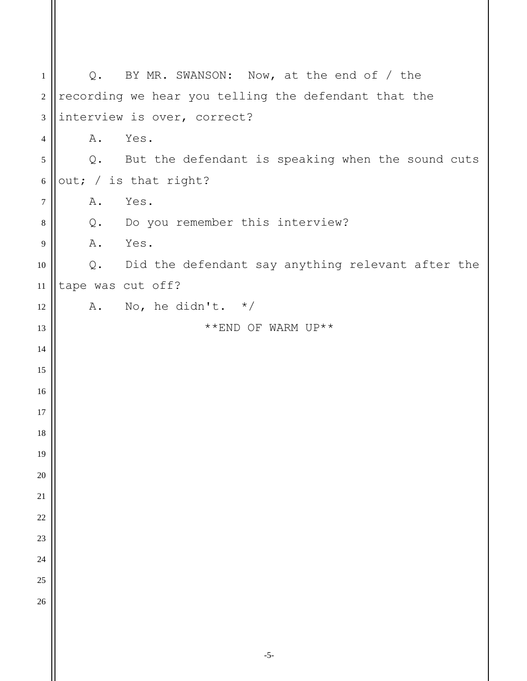| $\mathbf{1}$     |    | Q. BY MR. SWANSON: Now, at the end of / the          |
|------------------|----|------------------------------------------------------|
| $\boldsymbol{2}$ |    | recording we hear you telling the defendant that the |
| $\mathfrak{Z}$   |    | interview is over, correct?                          |
| $\overline{4}$   | Α. | Yes.                                                 |
| $\sqrt{5}$       |    | Q. But the defendant is speaking when the sound cuts |
| $\sqrt{6}$       |    | out; / is that right?                                |
| $\boldsymbol{7}$ | Α. | Yes.                                                 |
| $\,8\,$          |    | Q. Do you remember this interview?                   |
| 9                |    | A. Yes.                                              |
| 10               |    | Q. Did the defendant say anything relevant after the |
| 11               |    | tape was cut off?                                    |
| 12               |    | A. No, he didn't. $*/$                               |
| 13               |    | **END OF WARM UP**                                   |
| 14               |    |                                                      |
| 15               |    |                                                      |
| 16               |    |                                                      |
| 17               |    |                                                      |
| 18               |    |                                                      |
| 19               |    |                                                      |
| 20               |    |                                                      |
| 21               |    |                                                      |
| 22               |    |                                                      |
| 23               |    |                                                      |
| 24               |    |                                                      |
| 25               |    |                                                      |
| 26               |    |                                                      |
|                  |    |                                                      |
|                  |    |                                                      |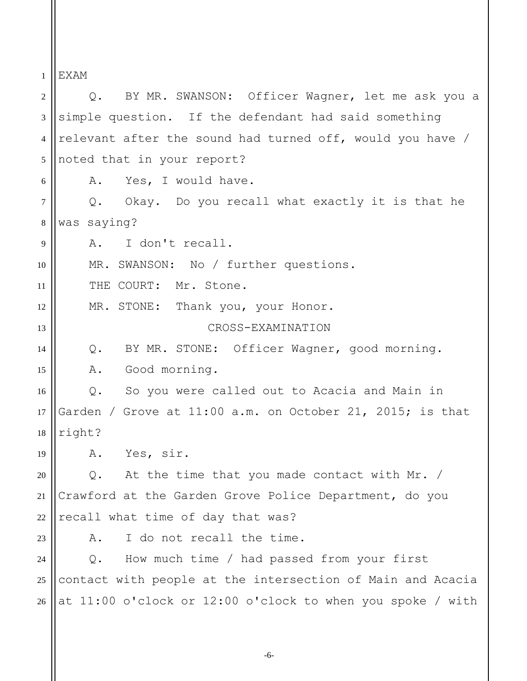1 EXAM

2 3 4 5 6 7 8 9 10 11 12 13 14 15 16 17 18 19 20 21 22 23 24 25 26 Q. BY MR. SWANSON: Officer Wagner, let me ask you a simple question. If the defendant had said something relevant after the sound had turned off, would you have / noted that in your report? A. Yes, I would have. Q. Okay. Do you recall what exactly it is that he was saying? A. I don't recall. MR. SWANSON: No / further questions. THE COURT: Mr. Stone. MR. STONE: Thank you, your Honor. CROSS-EXAMINATION Q. BY MR. STONE: Officer Wagner, good morning. A. Good morning. Q. So you were called out to Acacia and Main in Garden / Grove at 11:00 a.m. on October 21, 2015; is that right? A. Yes, sir. Q. At the time that you made contact with Mr. / Crawford at the Garden Grove Police Department, do you recall what time of day that was? A. I do not recall the time. Q. How much time / had passed from your first contact with people at the intersection of Main and Acacia at 11:00 o'clock or 12:00 o'clock to when you spoke / with

-6-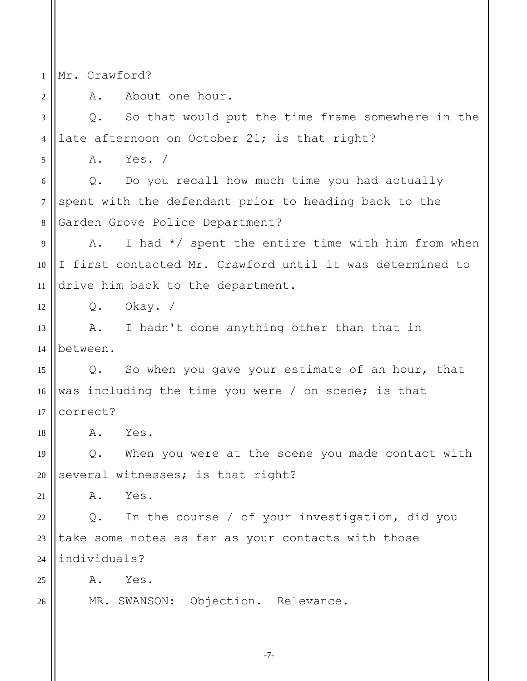1 Mr. Crawford?

2

5

18

26

A. About one hour.

3 4 Q. So that would put the time frame somewhere in the late afternoon on October 21; is that right?

A. Yes. /

6 7 8 Q. Do you recall how much time you had actually spent with the defendant prior to heading back to the Garden Grove Police Department?

9 10 11 A. I had  $*/$  spent the entire time with him from when I first contacted Mr. Crawford until it was determined to drive him back to the department.

12 Q. Okay. /

13 14 A. I hadn't done anything other than that in between.

15 16 17 Q. So when you gave your estimate of an hour, that was including the time you were / on scene; is that correct?

A. Yes.

19 20 Q. When you were at the scene you made contact with several witnesses; is that right?

21 A. Yes.

22 23 24 Q. In the course / of your investigation, did you take some notes as far as your contacts with those individuals?

25 A. Yes.

MR. SWANSON: Objection. Relevance.

-7-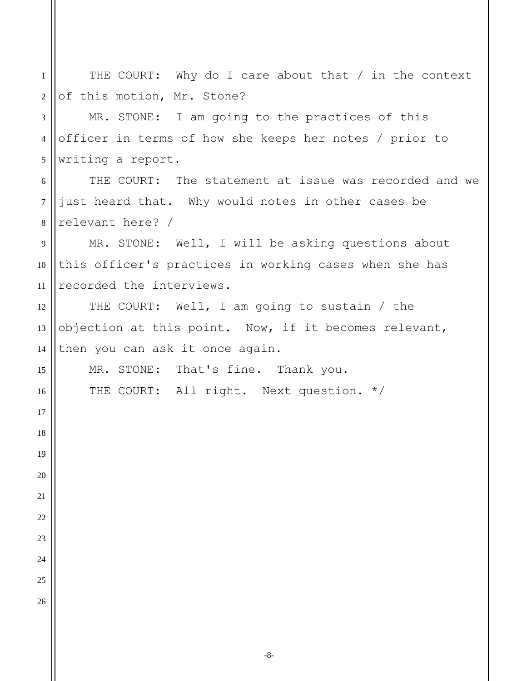THE COURT: Why do I care about that / in the context of this motion, Mr. Stone? MR. STONE: I am going to the practices of this officer in terms of how she keeps her notes / prior to writing a report. THE COURT: The statement at issue was recorded and we just heard that. Why would notes in other cases be relevant here? / MR. STONE: Well, I will be asking questions about this officer's practices in working cases when she has recorded the interviews. THE COURT: Well, I am going to sustain / the objection at this point. Now, if it becomes relevant, then you can ask it once again. MR. STONE: That's fine. Thank you. THE COURT: All right. Next question. \*/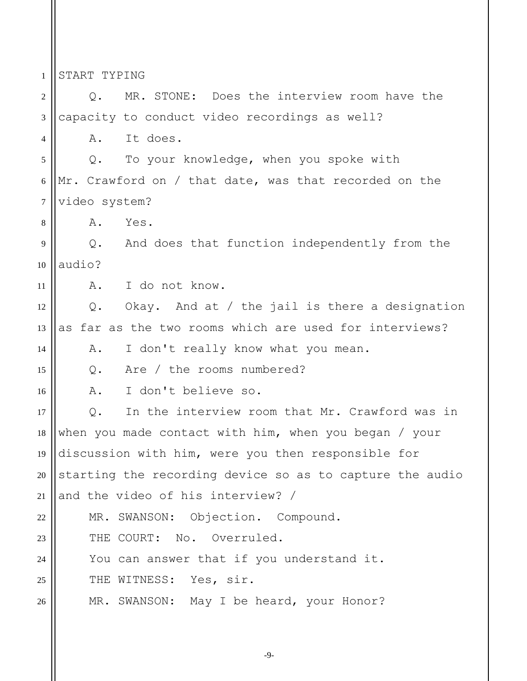1 2 3 4 5 6 7 8 9 10 11 12 13 14 15 16 17 18 19 20 21 22 23  $24$ 25 26 START TYPING Q. MR. STONE: Does the interview room have the capacity to conduct video recordings as well? A. It does. Q. To your knowledge, when you spoke with Mr. Crawford on / that date, was that recorded on the video system? A. Yes. Q. And does that function independently from the audio? A. I do not know. Q. Okay. And at / the jail is there a designation as far as the two rooms which are used for interviews? A. I don't really know what you mean. Q. Are / the rooms numbered? A. I don't believe so. Q. In the interview room that Mr. Crawford was in when you made contact with him, when you began / your discussion with him, were you then responsible for starting the recording device so as to capture the audio and the video of his interview? / MR. SWANSON: Objection. Compound. THE COURT: No. Overruled. You can answer that if you understand it. THE WITNESS: Yes, sir. MR. SWANSON: May I be heard, your Honor?

-9-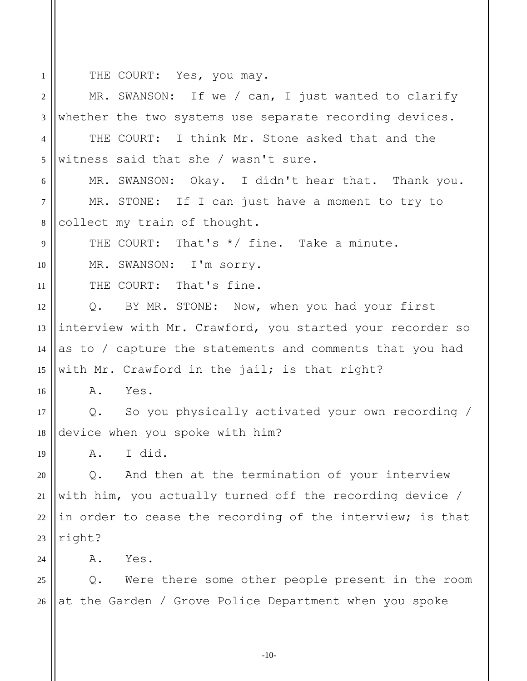THE COURT: Yes, you may.

1

2 3 4 5 6 7 8 9 10 11 12 13 14 15 16 17 18 19 20 21 22 23  $24$ 25 26 MR. SWANSON: If we / can, I just wanted to clarify whether the two systems use separate recording devices. THE COURT: I think Mr. Stone asked that and the witness said that she / wasn't sure. MR. SWANSON: Okay. I didn't hear that. Thank you. MR. STONE: If I can just have a moment to try to collect my train of thought. THE COURT: That's \*/ fine. Take a minute. MR. SWANSON: I'm sorry. THE COURT: That's fine. Q. BY MR. STONE: Now, when you had your first interview with Mr. Crawford, you started your recorder so as to / capture the statements and comments that you had with Mr. Crawford in the jail; is that right? A. Yes. Q. So you physically activated your own recording / device when you spoke with him? A. I did. Q. And then at the termination of your interview with him, you actually turned off the recording device / in order to cease the recording of the interview; is that right? A. Yes. Q. Were there some other people present in the room at the Garden / Grove Police Department when you spoke

-10-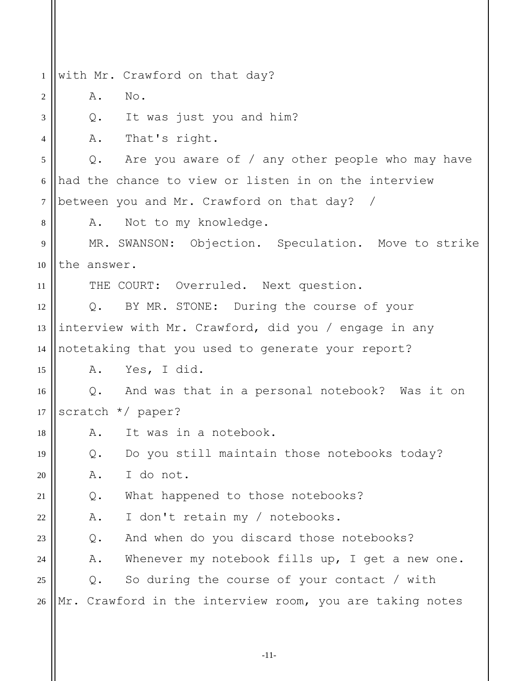1 2 3 4 5 6 7 8 9 10 11 12 13 14 15 16 17 18 19 20 21 22 23  $24$ 25 26 with Mr. Crawford on that day? A. No. Q. It was just you and him? A. That's right. Q. Are you aware of / any other people who may have had the chance to view or listen in on the interview between you and Mr. Crawford on that day? / A. Not to my knowledge. MR. SWANSON: Objection. Speculation. Move to strike the answer. THE COURT: Overruled. Next question. Q. BY MR. STONE: During the course of your interview with Mr. Crawford, did you / engage in any notetaking that you used to generate your report? A. Yes, I did. Q. And was that in a personal notebook? Was it on scratch \*/ paper? A. It was in a notebook. Q. Do you still maintain those notebooks today? A. I do not. Q. What happened to those notebooks? A. I don't retain my / notebooks. Q. And when do you discard those notebooks? A. Whenever my notebook fills up, I get a new one. Q. So during the course of your contact / with Mr. Crawford in the interview room, you are taking notes

-11-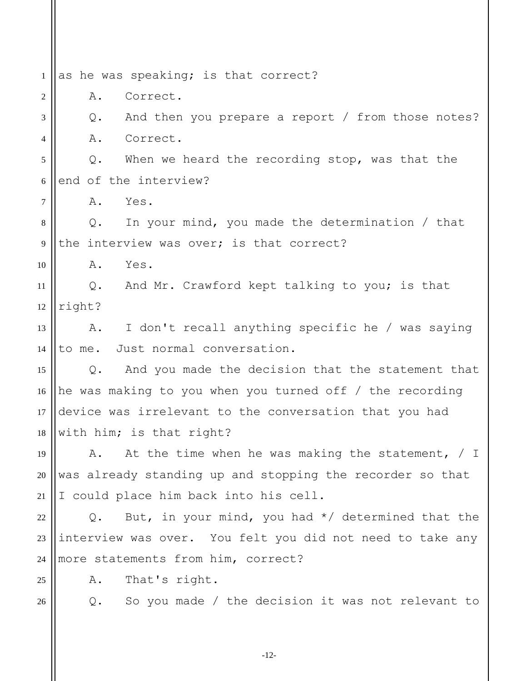1 2 3 4 5 6 7 8 9 10 11 12 13 14 15 16 17 18 19 20 21 22 23 24 25 26 as he was speaking; is that correct? A. Correct. Q. And then you prepare a report / from those notes? A. Correct. Q. When we heard the recording stop, was that the end of the interview? A. Yes. Q. In your mind, you made the determination / that the interview was over; is that correct? A. Yes. Q. And Mr. Crawford kept talking to you; is that right? A. I don't recall anything specific he / was saying to me. Just normal conversation. Q. And you made the decision that the statement that he was making to you when you turned off / the recording device was irrelevant to the conversation that you had with him; is that right? A. At the time when he was making the statement, / I was already standing up and stopping the recorder so that I could place him back into his cell. Q. But, in your mind, you had  $*/$  determined that the interview was over. You felt you did not need to take any more statements from him, correct? A. That's right. Q. So you made / the decision it was not relevant to

-12-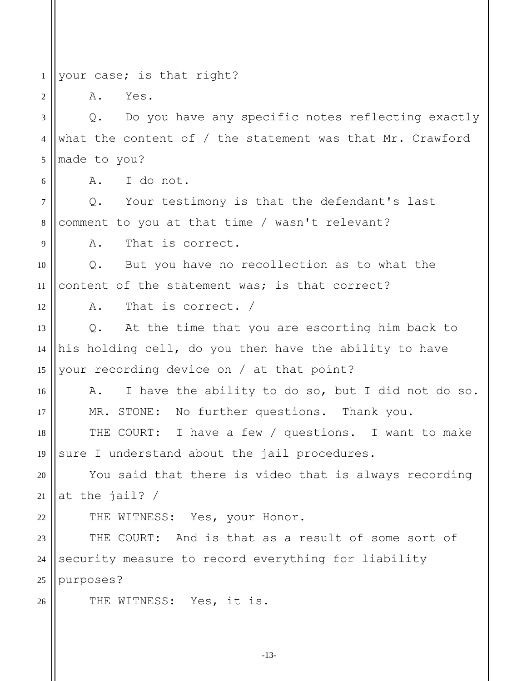1 your case; is that right?

A. Yes.

2

6

9

12

16

17

22

26

3 4 5 Q. Do you have any specific notes reflecting exactly what the content of / the statement was that Mr. Crawford made to you?

A. I do not.

7 8 Q. Your testimony is that the defendant's last comment to you at that time / wasn't relevant?

A. That is correct.

10 11 Q. But you have no recollection as to what the content of the statement was; is that correct?

A. That is correct. /

13 14 15 Q. At the time that you are escorting him back to his holding cell, do you then have the ability to have your recording device on / at that point?

A. I have the ability to do so, but I did not do so. MR. STONE: No further questions. Thank you.

18 19 THE COURT: I have a few / questions. I want to make sure I understand about the jail procedures.

20 21 You said that there is video that is always recording at the jail? /

THE WITNESS: Yes, your Honor.

23 24 25 THE COURT: And is that as a result of some sort of security measure to record everything for liability purposes?

THE WITNESS: Yes, it is.

-13-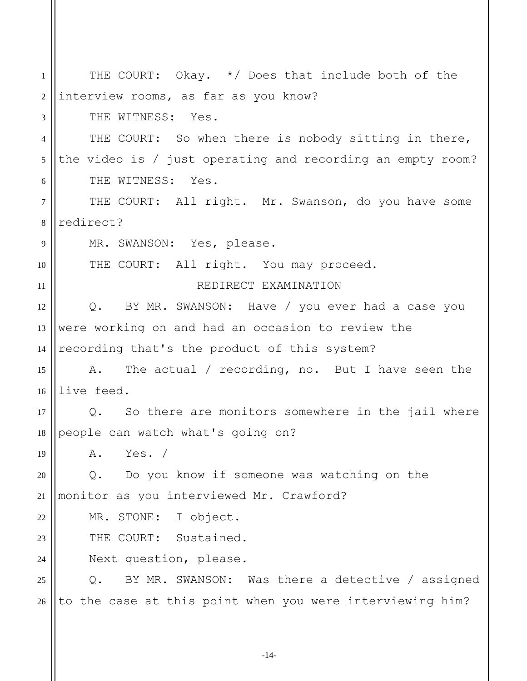| 1  | THE COURT: Okay. */ Does that include both of the                 |
|----|-------------------------------------------------------------------|
| 2  | interview rooms, as far as you know?                              |
| 3  | THE WITNESS: Yes.                                                 |
| 4  | THE COURT: So when there is nobody sitting in there,              |
| 5  | the video is $/$ just operating and recording an empty room?      |
| 6  | THE WITNESS: Yes.                                                 |
| 7  | THE COURT: All right. Mr. Swanson, do you have some               |
| 8  | redirect?                                                         |
| 9  | MR. SWANSON: Yes, please.                                         |
| 10 | THE COURT: All right. You may proceed.                            |
| 11 | REDIRECT EXAMINATION                                              |
| 12 | Q. BY MR. SWANSON: Have / you ever had a case you                 |
| 13 | were working on and had an occasion to review the                 |
| 14 | recording that's the product of this system?                      |
| 15 | A. The actual / recording, no. But I have seen the                |
| 16 | live feed.                                                        |
| 17 | Q. So there are monitors somewhere in the jail where              |
|    | 18    people can watch what's going on?                           |
| 19 | A. Yes. /                                                         |
| 20 | Q. Do you know if someone was watching on the                     |
| 21 | monitor as you interviewed Mr. Crawford?                          |
| 22 | MR. STONE: I object.                                              |
| 23 | THE COURT: Sustained.                                             |
| 24 | Next question, please.                                            |
| 25 | BY MR. SWANSON: Was there a detective / assigned<br>$Q_{\bullet}$ |
| 26 | to the case at this point when you were interviewing him?         |
|    |                                                                   |

-14-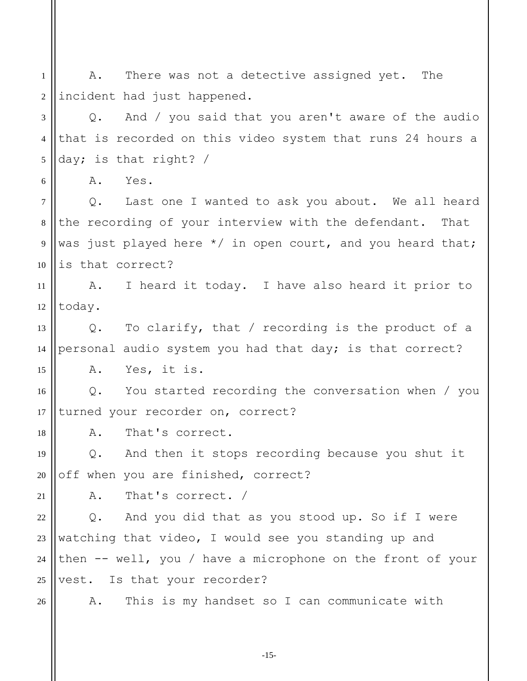1 2 A. There was not a detective assigned yet. The incident had just happened.

3 4 5 Q. And / you said that you aren't aware of the audio that is recorded on this video system that runs 24 hours a day; is that right? /

A. Yes.

6

7 8 9 10 Q. Last one I wanted to ask you about. We all heard the recording of your interview with the defendant. That was just played here \*/ in open court, and you heard that; is that correct?

11 12 A. I heard it today. I have also heard it prior to today.

13 14 15 Q. To clarify, that / recording is the product of a personal audio system you had that day; is that correct? A. Yes, it is.

16 17 Q. You started recording the conversation when / you turned your recorder on, correct?

A. That's correct.

19 20 Q. And then it stops recording because you shut it off when you are finished, correct?

21

18

A. That's correct. /

22 23 24 25 Q. And you did that as you stood up. So if I were watching that video, I would see you standing up and then -- well, you / have a microphone on the front of your vest. Is that your recorder?

26

A. This is my handset so I can communicate with

-15-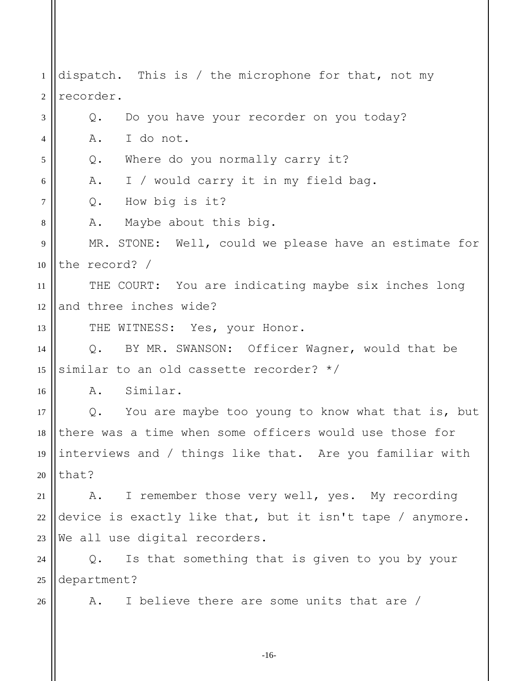1 2 3 4 5 6 7 8 9 10 11 12 13 14 15 16 17 18 19 dispatch. This is / the microphone for that, not my recorder. Q. Do you have your recorder on you today? A. I do not. Q. Where do you normally carry it? A. I / would carry it in my field bag. Q. How big is it? A. Maybe about this big. MR. STONE: Well, could we please have an estimate for the record? / THE COURT: You are indicating maybe six inches long and three inches wide? THE WITNESS: Yes, your Honor. Q. BY MR. SWANSON: Officer Wagner, would that be similar to an old cassette recorder? \*/ A. Similar. Q. You are maybe too young to know what that is, but there was a time when some officers would use those for interviews and / things like that. Are you familiar with

21

that?

20

22 23 A. I remember those very well, yes. My recording device is exactly like that, but it isn't tape / anymore. We all use digital recorders.

24 25 Q. Is that something that is given to you by your department?

26

A. I believe there are some units that are /

-16-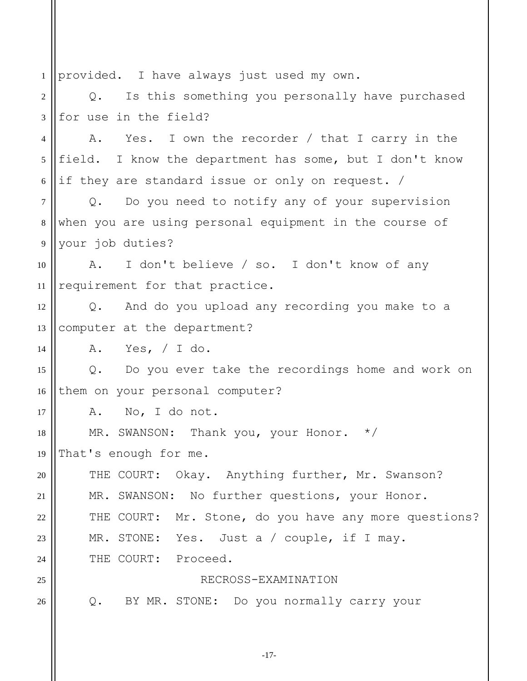1 2 3 4 5 6 7 8 9 10 11 12 13 14 15 16 17 18 19 20 21 22 23  $24$ 25 26 provided. I have always just used my own. Q. Is this something you personally have purchased for use in the field? A. Yes. I own the recorder / that I carry in the field. I know the department has some, but I don't know if they are standard issue or only on request. / Q. Do you need to notify any of your supervision when you are using personal equipment in the course of your job duties? A. I don't believe / so. I don't know of any requirement for that practice. Q. And do you upload any recording you make to a computer at the department? A. Yes, / I do. Q. Do you ever take the recordings home and work on them on your personal computer? A. No, I do not. MR. SWANSON: Thank you, your Honor. \*/ That's enough for me. THE COURT: Okay. Anything further, Mr. Swanson? MR. SWANSON: No further questions, your Honor. THE COURT: Mr. Stone, do you have any more questions? MR. STONE: Yes. Just a / couple, if I may. THE COURT: Proceed. RECROSS-EXAMINATION Q. BY MR. STONE: Do you normally carry your

-17-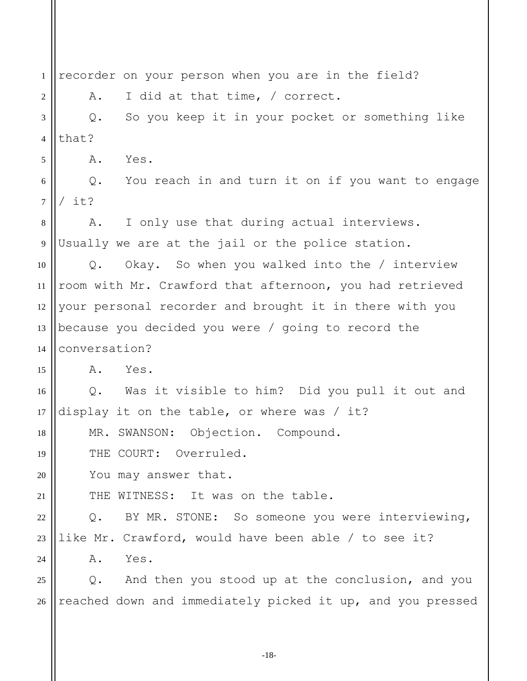1 2 3 4 5 6 7 8 9 10 11 12 13 14 15 16 17 18 19 20 21 22 23  $24$ 25 26 recorder on your person when you are in the field? A. I did at that time, / correct. Q. So you keep it in your pocket or something like that? A. Yes. Q. You reach in and turn it on if you want to engage / it? A. I only use that during actual interviews. Usually we are at the jail or the police station. Q. Okay. So when you walked into the / interview room with Mr. Crawford that afternoon, you had retrieved your personal recorder and brought it in there with you because you decided you were / going to record the conversation? A. Yes. Q. Was it visible to him? Did you pull it out and display it on the table, or where was / it? MR. SWANSON: Objection. Compound. THE COURT: Overruled. You may answer that. THE WITNESS: It was on the table. Q. BY MR. STONE: So someone you were interviewing, like Mr. Crawford, would have been able / to see it? A. Yes. Q. And then you stood up at the conclusion, and you reached down and immediately picked it up, and you pressed

-18-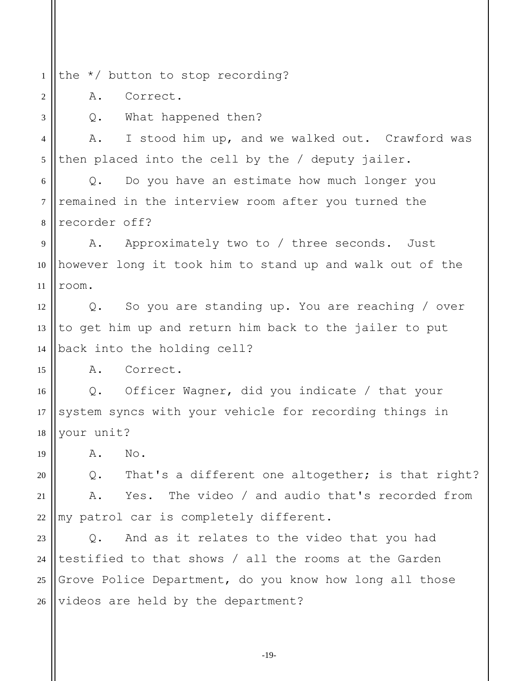1 the \*/ button to stop recording?

A. Correct.

3

2

15

Q. What happened then?

4 5 A. I stood him up, and we walked out. Crawford was then placed into the cell by the / deputy jailer.

6 7 8 Q. Do you have an estimate how much longer you remained in the interview room after you turned the recorder off?

9 10 11 A. Approximately two to / three seconds. Just however long it took him to stand up and walk out of the room.

12 13 14 Q. So you are standing up. You are reaching / over to get him up and return him back to the jailer to put back into the holding cell?

A. Correct.

16 17 18 Q. Officer Wagner, did you indicate / that your system syncs with your vehicle for recording things in your unit?

19 A. No.

20 21 22 Q. That's a different one altogether; is that right? A. Yes. The video / and audio that's recorded from my patrol car is completely different.

23 24 25 26 Q. And as it relates to the video that you had testified to that shows / all the rooms at the Garden Grove Police Department, do you know how long all those videos are held by the department?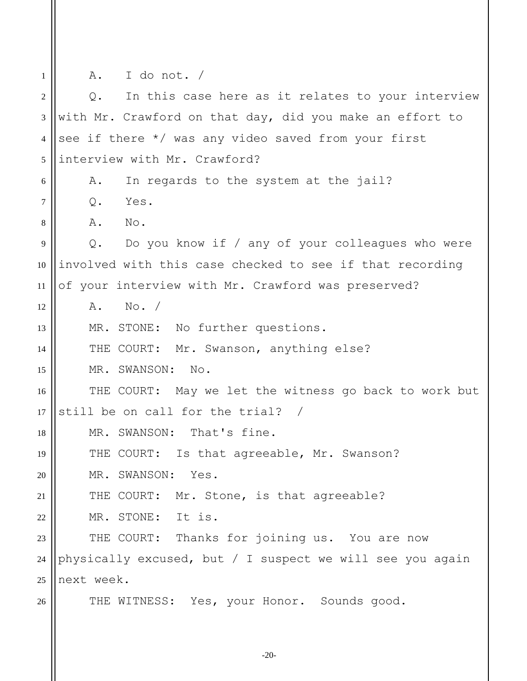1 2 3 4 5 6 7 8 9 10 11 12 13 14 15 16 17 18 19 20 21 22 23 24 25 26 A. I do not. / Q. In this case here as it relates to your interview with Mr. Crawford on that day, did you make an effort to see if there \*/ was any video saved from your first interview with Mr. Crawford? A. In regards to the system at the jail? Q. Yes. A. No. Q. Do you know if / any of your colleagues who were involved with this case checked to see if that recording of your interview with Mr. Crawford was preserved? A. No. / MR. STONE: No further questions. THE COURT: Mr. Swanson, anything else? MR. SWANSON: No. THE COURT: May we let the witness go back to work but still be on call for the trial? / MR. SWANSON: That's fine. THE COURT: Is that agreeable, Mr. Swanson? MR. SWANSON: Yes. THE COURT: Mr. Stone, is that agreeable? MR. STONE: It is. THE COURT: Thanks for joining us. You are now physically excused, but / I suspect we will see you again next week. THE WITNESS: Yes, your Honor. Sounds good.

-20-